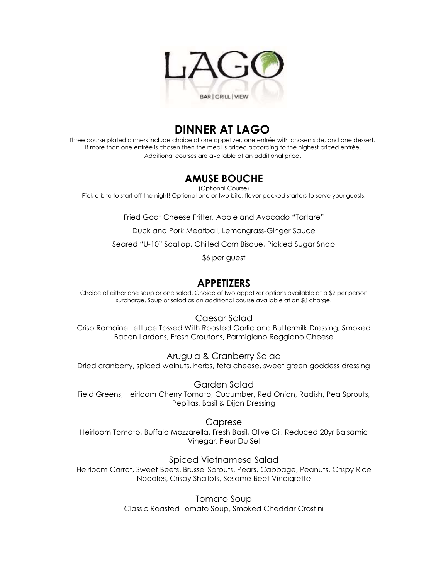

# **DINNER AT LAGO**

Three course plated dinners include choice of one appetizer, one entrée with chosen side, and one dessert. If more than one entrée is chosen then the meal is priced according to the highest priced entrée. Additional courses are available at an additional price.

## **AMUSE BOUCHE**

(Optional Course)

Pick a bite to start off the night! Optional one or two bite, flavor-packed starters to serve your guests.

Fried Goat Cheese Fritter, Apple and Avocado "Tartare"

Duck and Pork Meatball, Lemongrass-Ginger Sauce

Seared "U-10" Scallop, Chilled Corn Bisque, Pickled Sugar Snap

\$6 per guest

## **APPETIZERS**

Choice of either one soup or one salad. Choice of two appetizer options available at a \$2 per person surcharge. Soup or salad as an additional course available at an \$8 charge.

Caesar Salad

Crisp Romaine Lettuce Tossed With Roasted Garlic and Buttermilk Dressing, Smoked Bacon Lardons, Fresh Croutons, Parmigiano Reggiano Cheese

Arugula & Cranberry Salad Dried cranberry, spiced walnuts, herbs, feta cheese, sweet green goddess dressing

Garden Salad

Field Greens, Heirloom Cherry Tomato, Cucumber, Red Onion, Radish, Pea Sprouts, Pepitas, Basil & Dijon Dressing

Caprese

Heirloom Tomato, Buffalo Mozzarella, Fresh Basil, Olive Oil, Reduced 20yr Balsamic Vinegar, Fleur Du Sel

Spiced Vietnamese Salad

Heirloom Carrot, Sweet Beets, Brussel Sprouts, Pears, Cabbage, Peanuts, Crispy Rice Noodles, Crispy Shallots, Sesame Beet Vinaigrette

> Tomato Soup Classic Roasted Tomato Soup, Smoked Cheddar Crostini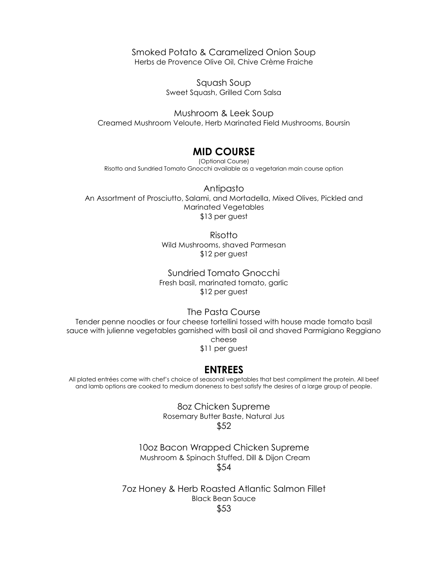Smoked Potato & Caramelized Onion Soup Herbs de Provence Olive Oil, Chive Crème Fraiche

> Squash Soup Sweet Squash, Grilled Corn Salsa

Mushroom & Leek Soup Creamed Mushroom Veloute, Herb Marinated Field Mushrooms, Boursin

### **MID COURSE**

(Optional Course) Risotto and Sundried Tomato Gnocchi available as a vegetarian main course option

Antipasto An Assortment of Prosciutto, Salami, and Mortadella, Mixed Olives, Pickled and Marinated Vegetables \$13 per guest

> Risotto Wild Mushrooms, shaved Parmesan \$12 per guest

Sundried Tomato Gnocchi Fresh basil, marinated tomato, garlic \$12 per guest

The Pasta Course

Tender penne noodles or four cheese tortellini tossed with house made tomato basil sauce with julienne vegetables garnished with basil oil and shaved Parmigiano Reggiano cheese \$11 per guest

### **ENTREES**

All plated entrées come with chef's choice of seasonal vegetables that best compliment the protein. All beef and lamb options are cooked to medium doneness to best satisfy the desires of a large group of people.

> 8oz Chicken Supreme Rosemary Butter Baste, Natural Jus \$52

10oz Bacon Wrapped Chicken Supreme Mushroom & Spinach Stuffed, Dill & Dijon Cream \$54

7oz Honey & Herb Roasted Atlantic Salmon Fillet Black Bean Sauce \$53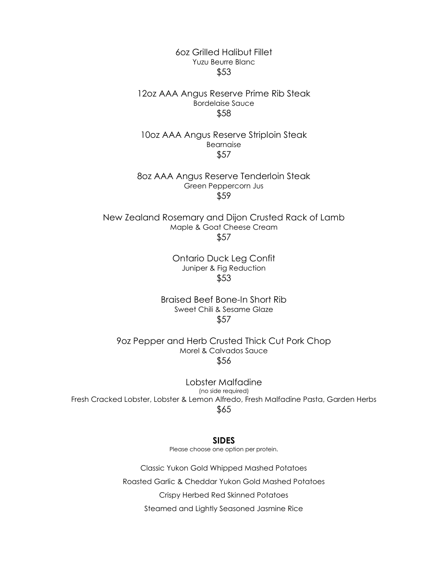#### 6oz Grilled Halibut Fillet Yuzu Beurre Blanc \$53

#### 12oz AAA Angus Reserve Prime Rib Steak Bordelaise Sauce \$58

10oz AAA Angus Reserve Striploin Steak Bearnaise \$57

8oz AAA Angus Reserve Tenderloin Steak Green Peppercorn Jus \$59

New Zealand Rosemary and Dijon Crusted Rack of Lamb Maple & Goat Cheese Cream \$57

> Ontario Duck Leg Confit Juniper & Fig Reduction \$53

Braised Beef Bone-In Short Rib Sweet Chili & Sesame Glaze \$57

9oz Pepper and Herb Crusted Thick Cut Pork Chop Morel & Calvados Sauce \$56

Lobster Malfadine (no side required) Fresh Cracked Lobster, Lobster & Lemon Alfredo, Fresh Malfadine Pasta, Garden Herbs \$65

**SIDES**

Please choose one option per protein.

Classic Yukon Gold Whipped Mashed Potatoes Roasted Garlic & Cheddar Yukon Gold Mashed Potatoes Crispy Herbed Red Skinned Potatoes Steamed and Lightly Seasoned Jasmine Rice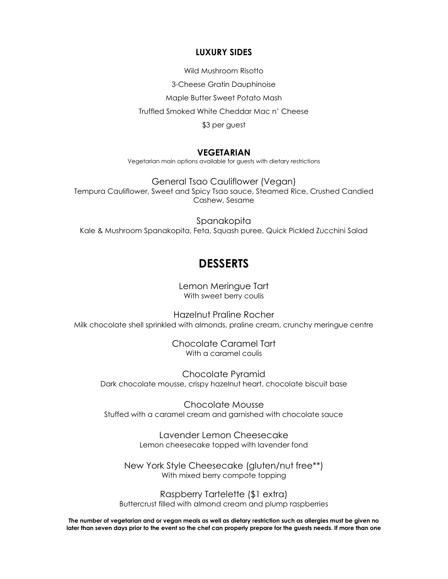#### **LUXURY SIDES**

Wild Mushroom Risotto

3-Cheese Gratin Dauphinoise

Maple Butter Sweet Potato Mash

Truffled Smoked White Cheddar Mac n' Cheese

\$3 per guest

#### **VEGETARIAN**

Vegetarian main options available for guests with dietary restrictions

General Tsao Cauliflower (Vegan) Tempura Cauliflower, Sweet and Spicy Tsao sauce, Steamed Rice, Crushed Candied Cashew, Sesame

Spanakopita Kale & Mushroom Spanakopita, Feta, Squash puree, Quick Pickled Zucchini Salad

# **DESSERTS**

Lemon Meringue Tart With sweet berry coulis

Hazelnut Praline Rocher Milk chocolate shell sprinkled with almonds, praline cream, crunchy meringue centre

> Chocolate Caramel Tart With a caramel coulis

Chocolate Pyramid Dark chocolate mousse, crispy hazelnut heart, chocolate biscuit base

Chocolate Mousse Stuffed with a caramel cream and garnished with chocolate sauce

> Lavender Lemon Cheesecake Lemon cheesecake topped with lavender fond

New York Style Cheesecake (gluten/nut free\*\*) With mixed berry compote topping

Raspberry Tartelette (\$1 extra) Buttercrust filled with almond cream and plump raspberries

**The number of vegetarian and or vegan meals as well as dietary restriction such as allergies must be given no later than seven days prior to the event so the chef can properly prepare for the guests needs. If more than one**